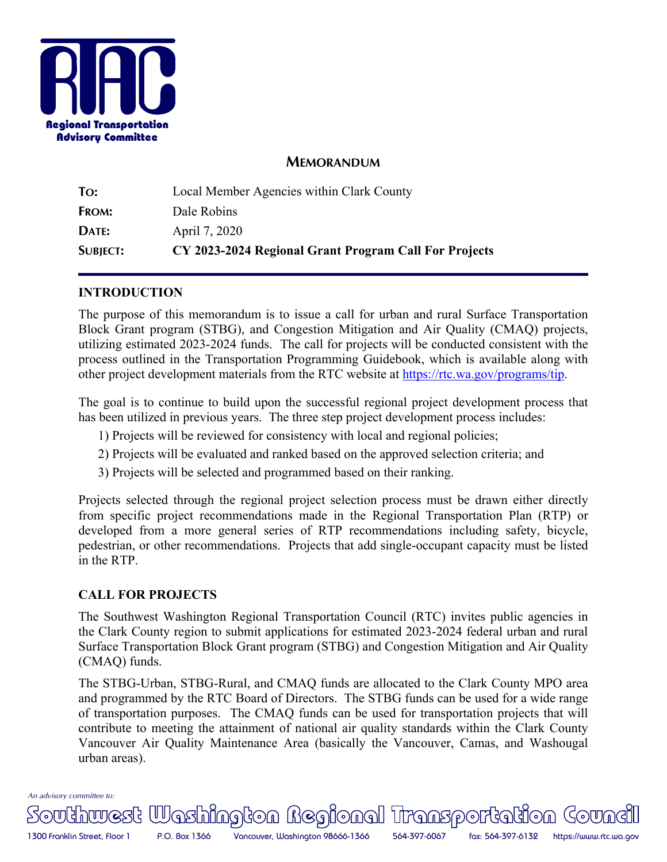

## **MEMORANDUM**

| <b>SUBJECT:</b> | CY 2023-2024 Regional Grant Program Call For Projects |  |  |
|-----------------|-------------------------------------------------------|--|--|
| DATE:           | April 7, 2020                                         |  |  |
| FROM:           | Dale Robins                                           |  |  |
| To:             | Local Member Agencies within Clark County             |  |  |

### **INTRODUCTION**

The purpose of this memorandum is to issue a call for urban and rural Surface Transportation Block Grant program (STBG), and Congestion Mitigation and Air Quality (CMAQ) projects, utilizing estimated 2023-2024 funds. The call for projects will be conducted consistent with the process outlined in the Transportation Programming Guidebook, which is available along with other project development materials from the RTC website at https://rtc.wa.gov/programs/tip.

The goal is to continue to build upon the successful regional project development process that has been utilized in previous years. The three step project development process includes:

- 1) Projects will be reviewed for consistency with local and regional policies;
- 2) Projects will be evaluated and ranked based on the approved selection criteria; and
- 3) Projects will be selected and programmed based on their ranking.

Projects selected through the regional project selection process must be drawn either directly from specific project recommendations made in the Regional Transportation Plan (RTP) or developed from a more general series of RTP recommendations including safety, bicycle, pedestrian, or other recommendations. Projects that add single-occupant capacity must be listed in the RTP.

## **CALL FOR PROJECTS**

The Southwest Washington Regional Transportation Council (RTC) invites public agencies in the Clark County region to submit applications for estimated 2023-2024 federal urban and rural Surface Transportation Block Grant program (STBG) and Congestion Mitigation and Air Quality (CMAQ) funds.

The STBG-Urban, STBG-Rural, and CMAQ funds are allocated to the Clark County MPO area and programmed by the RTC Board of Directors. The STBG funds can be used for a wide range of transportation purposes. The CMAQ funds can be used for transportation projects that will contribute to meeting the attainment of national air quality standards within the Clark County Vancouver Air Quality Maintenance Area (basically the Vancouver, Camas, and Washougal urban areas).

*An advisory committee to:* 

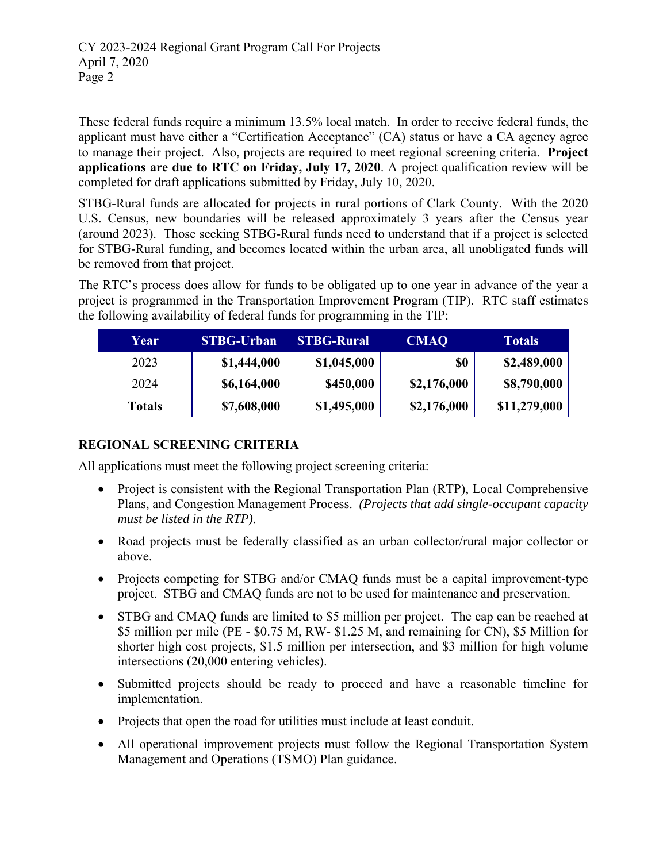These federal funds require a minimum 13.5% local match. In order to receive federal funds, the applicant must have either a "Certification Acceptance" (CA) status or have a CA agency agree to manage their project. Also, projects are required to meet regional screening criteria. **Project applications are due to RTC on Friday, July 17, 2020**. A project qualification review will be completed for draft applications submitted by Friday, July 10, 2020.

STBG-Rural funds are allocated for projects in rural portions of Clark County. With the 2020 U.S. Census, new boundaries will be released approximately 3 years after the Census year (around 2023). Those seeking STBG-Rural funds need to understand that if a project is selected for STBG-Rural funding, and becomes located within the urban area, all unobligated funds will be removed from that project.

The RTC's process does allow for funds to be obligated up to one year in advance of the year a project is programmed in the Transportation Improvement Program (TIP). RTC staff estimates the following availability of federal funds for programming in the TIP:

| Year          | <b>STBG-Urban</b> | <b>STBG-Rural</b> | <b>CMAQ</b> | <b>Totals</b> |
|---------------|-------------------|-------------------|-------------|---------------|
| 2023          | \$1,444,000       | \$1,045,000       | \$0         | \$2,489,000   |
| 2024          | \$6,164,000       | \$450,000         | \$2,176,000 | \$8,790,000   |
| <b>Totals</b> | \$7,608,000       | \$1,495,000       | \$2,176,000 | \$11,279,000  |

# **REGIONAL SCREENING CRITERIA**

All applications must meet the following project screening criteria:

- Project is consistent with the Regional Transportation Plan (RTP), Local Comprehensive Plans, and Congestion Management Process. *(Projects that add single-occupant capacity must be listed in the RTP)*.
- Road projects must be federally classified as an urban collector/rural major collector or above.
- Projects competing for STBG and/or CMAQ funds must be a capital improvement-type project. STBG and CMAQ funds are not to be used for maintenance and preservation.
- STBG and CMAQ funds are limited to \$5 million per project. The cap can be reached at \$5 million per mile (PE - \$0.75 M, RW- \$1.25 M, and remaining for CN), \$5 Million for shorter high cost projects, \$1.5 million per intersection, and \$3 million for high volume intersections (20,000 entering vehicles).
- Submitted projects should be ready to proceed and have a reasonable timeline for implementation.
- Projects that open the road for utilities must include at least conduit.
- All operational improvement projects must follow the Regional Transportation System Management and Operations (TSMO) Plan guidance.